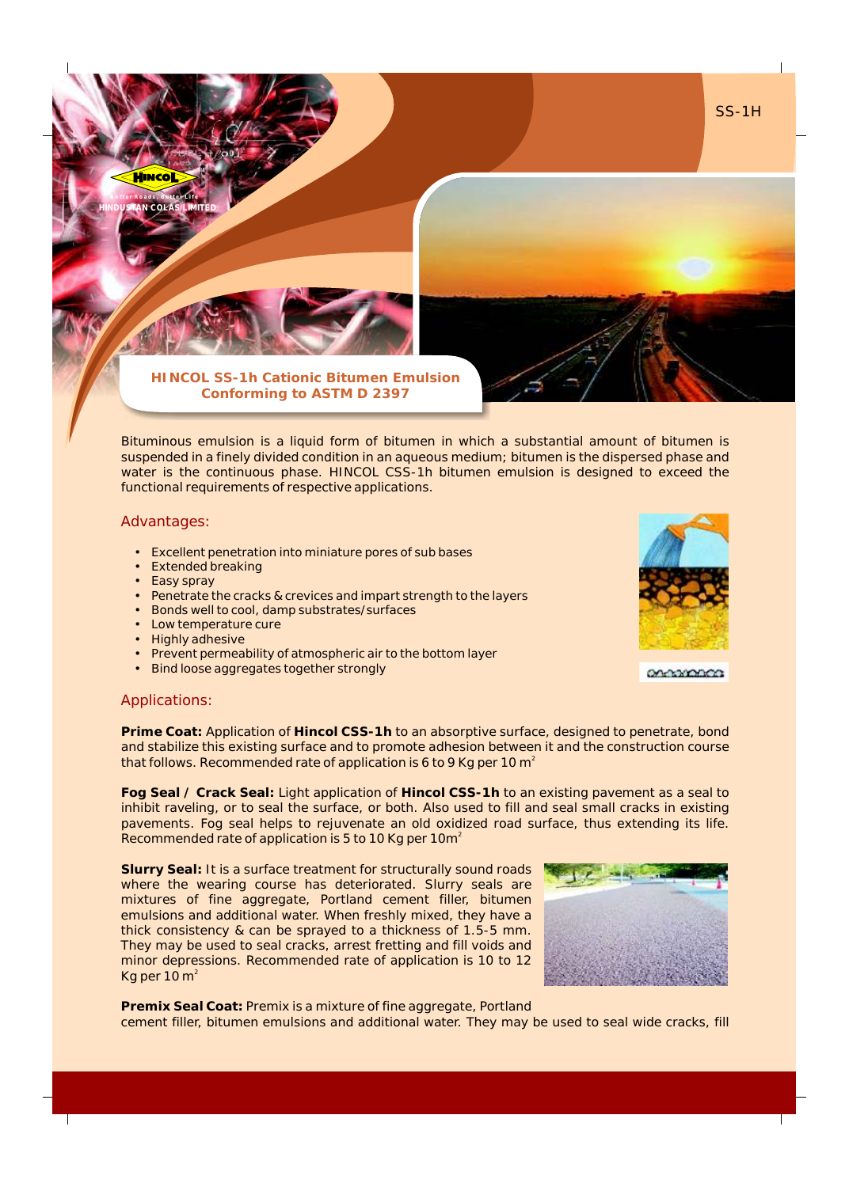**B e t t e r R o a d s , B e t t e r L i f e**

**HINDUSTAN COLAS LIMITED**

TM

**HINCOL SS-1h Cationic Bitumen Emulsion Conforming to ASTM D 2397**

Bituminous emulsion is a liquid form of bitumen in which a substantial amount of bitumen is suspended in a finely divided condition in an aqueous medium; bitumen is the dispersed phase and water is the continuous phase. HINCOL CSS-1h bitumen emulsion is designed to exceed the functional requirements of respective applications.

## Advantages:

- Excellent penetration into miniature pores of sub bases
- Extended breaking
- Easy spray
- Penetrate the cracks & crevices and impart strength to the layers
- Bonds well to cool, damp substrates/surfaces
- Low temperature cure
- Highly adhesive
- Prevent permeability of atmospheric air to the bottom layer
- Bind loose aggregates together strongly



SS-1H

on-wonce

## Applications:

**Prime Coat:** Application of **Hincol CSS-1h** to an absorptive surface, designed to penetrate, bond and stabilize this existing surface and to promote adhesion between it and the construction course that follows. Recommended rate of application is 6 to 9 Kg per 10 m $^{\circ}$ 

**Fog Seal / Crack Seal:** Light application of **Hincol CSS-1h** to an existing pavement as a seal to inhibit raveling, or to seal the surface, or both. Also used to fill and seal small cracks in existing pavements. Fog seal helps to rejuvenate an old oxidized road surface, thus extending its life. Recommended rate of application is 5 to 10 Kg per 10 $m<sup>2</sup>$ 

**Slurry Seal:** It is a surface treatment for structurally sound roads where the wearing course has deteriorated. Slurry seals are mixtures of fine aggregate, Portland cement filler, bitumen emulsions and additional water. When freshly mixed, they have a thick consistency & can be sprayed to a thickness of 1.5-5 mm. They may be used to seal cracks, arrest fretting and fill voids and minor depressions. Recommended rate of application is 10 to 12 Kg per 10  $m<sup>2</sup>$ 



**Premix Seal Coat:** Premix is a mixture of fine aggregate, Portland cement filler, bitumen emulsions and additional water. They may be used to seal wide cracks, fill